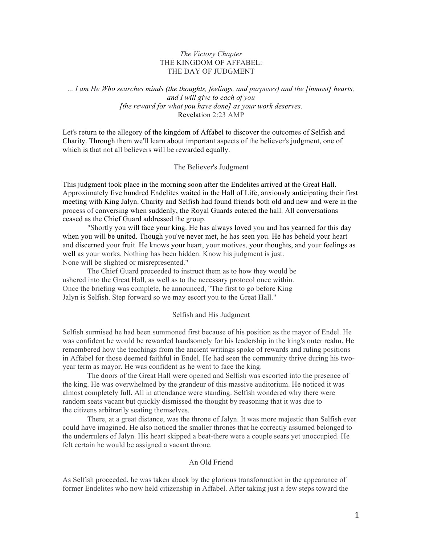# *The Victory Chapter* THE KINGDOM OF AFFABEL: THE DAY OF JUDGMENT

*... I am He Who searches minds (the thoughts, feelings, and purposes) and the [inmost] hearts, and I will give to each of you [the reward for what you have done] as your work deserves.* Revelation 2:23 AMP

Let's return to the allegory of the kingdom of Affabel to discover the outcomes of Selfish and Charity. Through them we'll learn about important aspects of the believer's judgment, one of which is that not all believers will be rewarded equally.

### The Believer's Judgment

This judgment took place in the morning soon after the Endelites arrived at the Great Hall. Approximately five hundred Endelites waited in the Hall of Life, anxiously anticipating their first meeting with King Jalyn. Charity and Selfish had found friends both old and new and were in the process of conversing when suddenly, the Royal Guards entered the hall. All conversations ceased as the Chief Guard addressed the group.

"Shortly you will face your king. He has always loved you and has yearned for this day when you will be united. Though you've never met, he has seen you. He has beheld your heart and discerned your fruit. He knows your heart, your motives, your thoughts, and your feelings as well as your works. Nothing has been hidden. Know his judgment is just. None will be slighted or misrepresented."

The Chief Guard proceeded to instruct them as to how they would be ushered into the Great Hall, as well as to the necessary protocol once within. Once the briefing was complete, he announced, "The first to go before King Jalyn is Selfish. Step forward so we may escort you to the Great Hall."

#### Selfish and His Judgment

Selfish surmised he had been summoned first because of his position as the mayor of Endel. He was confident he would be rewarded handsomely for his leadership in the king's outer realm. He remembered how the teachings from the ancient writings spoke of rewards and ruling positions in Affabel for those deemed faithful in Endel. He had seen the community thrive during his twoyear term as mayor. He was confident as he went to face the king.

The doors of the Great Hall were opened and Selfish was escorted into the presence of the king. He was overwhelmed by the grandeur of this massive auditorium. He noticed it was almost completely full. All in attendance were standing. Selfish wondered why there were random seats vacant but quickly dismissed the thought by reasoning that it was due to the citizens arbitrarily seating themselves.

There, at a great distance, was the throne of Jalyn. It was more majestic than Selfish ever could have imagined. He also noticed the smaller thrones that he correctly assumed belonged to the underrulers of Jalyn. His heart skipped a beat-there were a couple sears yet unoccupied. He felt certain he would be assigned a vacant throne.

### An Old Friend

As Selfish proceeded, he was taken aback by the glorious transformation in the appearance of former Endelites who now held citizenship in Affabel. After taking just a few steps toward the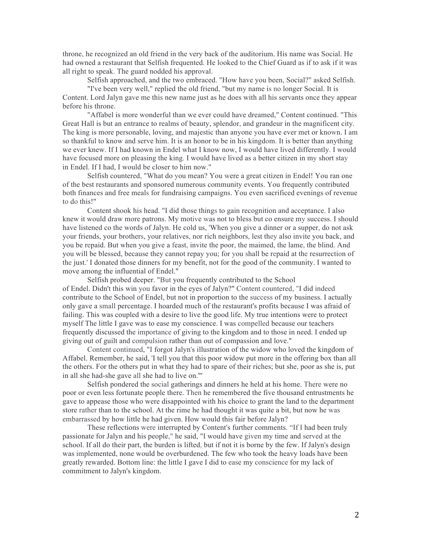throne, he recognized an old friend in the very back of the auditorium. His name was Social. He had owned a restaurant that Selfish frequented. He looked to the Chief Guard as if to ask if it was all right to speak. The guard nodded his approval.

Selfish approached, and the two embraced. "How have you been, Social?" asked Selfish.

"I've been very well," replied the old friend, "but my name is no longer Social. It is Content. Lord Jalyn gave me this new name just as he does with all his servants once they appear before his throne.

"Affabel is more wonderful than we ever could have dreamed," Content continued. "This Great Hall is but an entrance to realms of beauty, splendor, and grandeur in the magnificent city. The king is more personable, loving, and majestic than anyone you have ever met or known. I am so thankful to know and serve him. It is an honor to be in his kingdom. It is better than anything we ever knew. If I had known in Endel what I know now, I would have lived differently. I would have focused more on pleasing the king. I would have lived as a better citizen in my short stay in Endel. If I had, I would be closer to him now."

Selfish countered, "What do you mean? You were a great citizen in Endel! You ran one of the best restaurants and sponsored numerous community events. You frequently contributed both finances and free meals for fundraising campaigns. You even sacrificed evenings of revenue to do this!"

Content shook his head. "I did those things to gain recognition and acceptance. I also knew it would draw more patrons. My motive was not to bless but co ensure my success. I should have listened co the words of Jalyn. He cold us, 'When you give a dinner or a supper, do not ask your friends, your brothers, your relatives, nor rich neighbors, lest they also invite you back, and you be repaid. But when you give a feast, invite the poor, the maimed, the lame, the blind. And you will be blessed, because they cannot repay you; for you shall be repaid at the resurrection of the just.' I donated those dinners for my benefit, not for the good of the community. I wanted to move among the influential of Endel."

Selfish probed deeper. "But you frequently contributed to the School of Endel. Didn't this win you favor in the eyes of Jalyn?" Content countered, "I did indeed contribute to the School of Endel, but not in proportion to the success of my business. I actually only gave a small percentage. I hoarded much of the restaurant's profits because I was afraid of failing. This was coupled with a desire to live the good life. My true intentions were to protect myself The little I gave was to ease my conscience. I was compelled because our teachers frequently discussed the importance of giving to the kingdom and to those in need. I ended up giving out of guilt and compulsion rather than out of compassion and love."

Content continued, "I forgot Jalyn's illustration of the widow who loved the kingdom of Affabel. Remember, he said, 'I tell you that this poor widow put more in the offering box than all the others. For the others put in what they had to spare of their riches; but she, poor as she is, put in all she had-she gave all she had to live on."'

Selfish pondered the social gatherings and dinners he held at his home. There were no poor or even less fortunate people there. Then he remembered the five thousand entrustments he gave to appease those who were disappointed with his choice to grant the land to the department store rather than to the school. At the rime he had thought it was quite a bit, but now he was embarrassed by how little he had given. How would this fair before Jalyn?

These reflections were interrupted by Content's further comments. "If I had been truly passionate for Jalyn and his people," he said, "I would have given my time and served at the school. If all do their part, the burden is lifted, but if not it is borne by the few. If Jalyn's design was implemented, none would be overburdened. The few who took the heavy loads have been greatly rewarded. Bottom line: the little I gave I did to ease my conscience for my lack of commitment to Jalyn's kingdom.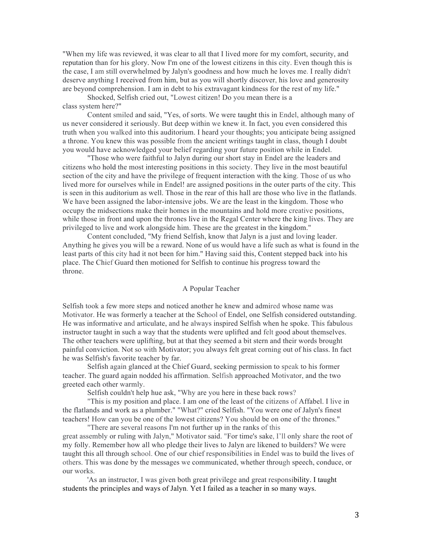"When my life was reviewed, it was clear to all that I lived more for my comfort, security, and reputation than for his glory. Now I'm one of the lowest citizens in this city. Even though this is the case, I am still overwhelmed by Jalyn's goodness and how much he loves me. I really didn't deserve anything I received from him, but as you will shortly discover, his love and generosity are beyond comprehension. I am in debt to his extravagant kindness for the rest of my life."

Shocked, Selfish cried out, "Lowest citizen! Do you mean there is a class system here?"

Content smiled and said, "Yes, of sorts. We were taught this in Endel, although many of us never considered it seriously. But deep within we knew it. In fact, you even considered this truth when you walked into this auditorium. I heard your thoughts; you anticipate being assigned a throne. You knew this was possible from the ancient writings taught in class, though I doubt you would have acknowledged your belief regarding your future position while in Endel.

"Those who were faithful to Jalyn during our short stay in Endel are the leaders and citizens who hold the most interesting positions in this society. They live in the most beautiful section of the city and have the privilege of frequent interaction with the king. Those of us who lived more for ourselves while in Endel! are assigned positions in the outer parts of the city. This is seen in this auditorium as well. Those in the rear of this hall are those who live in the flatlands. We have been assigned the labor-intensive jobs. We are the least in the kingdom. Those who occupy the midsections make their homes in the mountains and hold more creative positions, while those in front and upon the thrones live in the Regal Center where the king lives. They are privileged to live and work alongside him. These are the greatest in the kingdom."

Content concluded, "My friend Selfish, know that Jalyn is a just and loving leader. Anything he gives you will be a reward. None of us would have a life such as what is found in the least parts of this city had it not been for him." Having said this, Content stepped back into his place. The Chief Guard then motioned for Selfish to continue his progress toward the throne.

## A Popular Teacher

Selfish took a few more steps and noticed another he knew and admired whose name was Motivator. He was formerly a teacher at the School of Endel, one Selfish considered outstanding. He was informative and articulate, and he always inspired Selfish when he spoke. This fabulous instructor taught in such a way that the students were uplifted and felt good about themselves. The other teachers were uplifting, but at that they seemed a bit stern and their words brought painful conviction. Not so with Motivator; you always felt great corning out of his class. In fact he was Selfish's favorite teacher by far.

Selfish again glanced at the Chief Guard, seeking permission to speak to his former teacher. The guard again nodded his affirmation. Selfish approached Motivator, and the two greeted each other warmly.

Selfish couldn't help hue ask, "Why are you here in these back rows?

"This is my position and place. I am one of the least of the citizens of Affabel. I live in the flatlands and work as a plumber." "What?" cried Selfish. "You were one of Jalyn's finest teachers! How can you be one of the lowest citizens? You should be on one of the thrones."

"There are several reasons I'm not further up in the ranks of this great assembly or ruling with Jalyn," Motivator said. "For time's sake, I'll only share the root of my folly. Remember how all who pledge their lives to Jalyn are likened to builders? We were taught this all through school. One of our chief responsibilities in Endel was to build the lives of others. This was done by the messages we communicated, whether through speech, conduce, or our works.

'As an instructor, I was given both great privilege and great responsibility. I taught students the principles and ways of Jalyn. Yet I failed as a teacher in so many ways.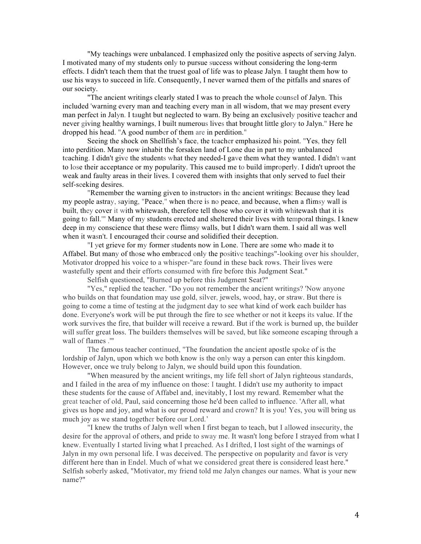"My teachings were unbalanced. I emphasized only the positive aspects of serving Jalyn. I motivated many of my students only to pursue success without considering the long-term effects. I didn't teach them that the truest goal of life was to please Jalyn. I taught them how to use his ways to succeed in life. Consequently, I never warned them of the pitfalls and snares of our society.

"The ancient writings clearly stated I was to preach the whole counsel of Jalyn. This included 'warning every man and teaching every man in all wisdom, that we may present every man perfect in Jalyn. I taught but neglected to warn. By being an exclusively positive teacher and never giving healthy warnings, I built numerous lives that brought little glory to Jalyn." Here he dropped his head. "A good number of them are in perdition."

Seeing the shock on Shellfish's face, the teacher emphasized his point. "Yes, they fell into perdition. Many now inhabit the forsaken land of Lone due in part to my unbalanced teaching. I didn't give the students what they needed-I gave them what they wanted. I didn't want to lose their acceptance or my popularity. This caused me to build improperly. I didn't uproot the weak and faulty areas in their lives. I covered them with insights that only served to fuel their self-seeking desires.

"Remember the warning given to instructors in the ancient writings: Because they lead my people astray, saying, "Peace," when there is no peace, and because, when a flimsy wall is built, they cover it with whitewash, therefore tell those who cover it with whitewash that it is going to fall.'" Many of my students erected and sheltered their lives with temporal things. I knew deep in my conscience that these were flimsy walls, but I didn't warn them. I said all was well when it wasn't. I encouraged their course and solidified their deception.

"I yet grieve for my former students now in Lone. There are some who made it to Affabel. But many of those who embraced only the positive teachings"-looking over his shoulder, Motivator dropped his voice to a whisper-"are found in these back rows. Their lives were wastefully spent and their efforts consumed with fire before this Judgment Seat."

Selfish questioned, "Burned up before this Judgment Seat?"

"Yes," replied the teacher. "Do you not remember the ancient writings? 'Now anyone who builds on that foundation may use gold, silver, jewels, wood, hay, or straw. But there is going to come a time of testing at the judgment day to see what kind of work each builder has done. Everyone's work will be put through the fire to see whether or not it keeps its value. If the work survives the fire, that builder will receive a reward. But if the work is burned up, the builder will suffer great loss. The builders themselves will be saved, but like someone escaping through a wall of flames .'"

The famous teacher continued, "The foundation the ancient apostle spoke of is the lordship of Jalyn, upon which we both know is the only way a person can enter this kingdom. However, once we truly belong to Jalyn, we should build upon this foundation.

"When measured by the ancient writings, my life fell short of Jalyn righteous standards, and I failed in the area of my influence on those: I taught. I didn't use my authority to impact these students for the cause of Affabel and, inevitably, I lost my reward. Remember what the great teacher of old, Paul, said concerning those he'd been called to influence. 'After all, what gives us hope and joy, and what is our proud reward and crown? It is you! Yes, you will bring us much joy as we stand together before our Lord.'

"I knew the truths of Jalyn well when I first began to teach, but I allowed insecurity, the desire for the approval of others, and pride to sway me. It wasn't long before I strayed from what I knew. Eventually I started living what I preached. As I drifted, I lost sight of the warnings of Jalyn in my own personal life. I was deceived. The perspective on popularity and favor is very different here than in Endel. Much of what we considered great there is considered least here." Selfish soberly asked, "Motivator, my friend told me Jalyn changes our names. What is your new name?"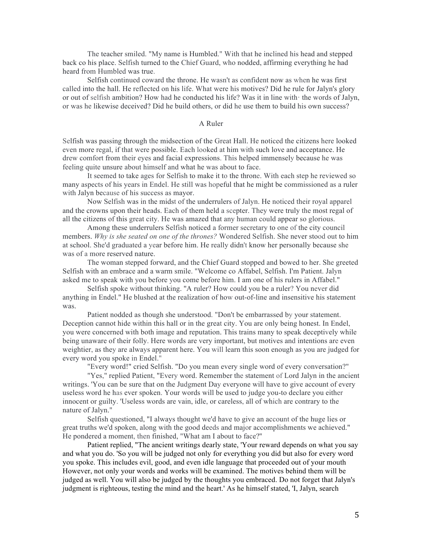The teacher smiled. "My name is Humbled." With that he inclined his head and stepped back co his place. Selfish turned to the Chief Guard, who nodded, affirming everything he had heard from Humbled was true.

Selfish continued coward the throne. He wasn't as confident now as when he was first called into the hall. He reflected on his life. What were his motives? Did he rule for Jalyn's glory or out of selfish ambition? How had he conducted his life? Was it in line with· the words of Jalyn, or was he likewise deceived? Did he build others, or did he use them to build his own success?

# A Ruler

Selfish was passing through the midsection of the Great Hall. He noticed the citizens here looked even more regal, if that were possible. Each looked at him with such love and acceptance. He drew comfort from their eyes and facial expressions. This helped immensely because he was feeling quite unsure about himself and what he was about to face.

It seemed to take ages for Selfish to make it to the throne. With each step he reviewed so many aspects of his years in Endel. He still was hopeful that he might be commissioned as a ruler with Jalyn because of his success as mayor.

Now Selfish was in the midst of the underrulers of Jalyn. He noticed their royal apparel and the crowns upon their heads. Each of them held a scepter. They were truly the most regal of all the citizens of this great city. He was amazed that any human could appear so glorious.

Among these underrulers Selfish noticed a former secretary to one of the city council members. *Why is she seated on one of the thrones?* Wondered Selfish. She never stood out to him at school. She'd graduated a year before him. He really didn't know her personally because she was of a more reserved nature.

The woman stepped forward, and the Chief Guard stopped and bowed to her. She greeted Selfish with an embrace and a warm smile. "Welcome co Affabel, Selfish. I'm Patient. Jalyn asked me to speak with you before you come before him. I am one of his rulers in Affabel."

Selfish spoke without thinking. ''A ruler? How could you be a ruler? You never did anything in Endel." He blushed at the realization of how out-of-line and insensitive his statement was.

Patient nodded as though she understood. "Don't be embarrassed by your statement. Deception cannot hide within this hall or in the great city. You are only being honest. In Endel, you were concerned with both image and reputation. This trains many to speak deceptively while being unaware of their folly. Here words are very important, but motives and intentions are even weightier, as they are always apparent here. You will learn this soon enough as you are judged for every word you spoke in Endel."

"Every word!" cried Selfish. "Do you mean every single word of every conversation?"

"Yes," replied Patient, "Every word. Remember the statement of Lord Jalyn in the ancient writings. 'You can be sure that on the Judgment Day everyone will have to give account of every useless word he has ever spoken. Your words will be used to judge you-to declare you either innocent or guilty. 'Useless words are vain, idle, or careless, all of which are contrary to the nature of Jalyn."

Selfish questioned, "I always thought we'd have to give an account of the huge lies or great truths we'd spoken, along with the good deeds and major accomplishments we achieved." He pondered a moment, then finished, "What am I about to face?''

Patient replied, "The ancient writings dearly state, 'Your reward depends on what you say and what you do. 'So you will be judged not only for everything you did but also for every word you spoke. This includes evil, good, and even idle language that proceeded out of your mouth However, not only your words and works will be examined. The motives behind them will be judged as well. You will also be judged by the thoughts you embraced. Do not forget that Jalyn's judgment is righteous, testing the mind and the heart.' As he himself stated, 'I, Jalyn, search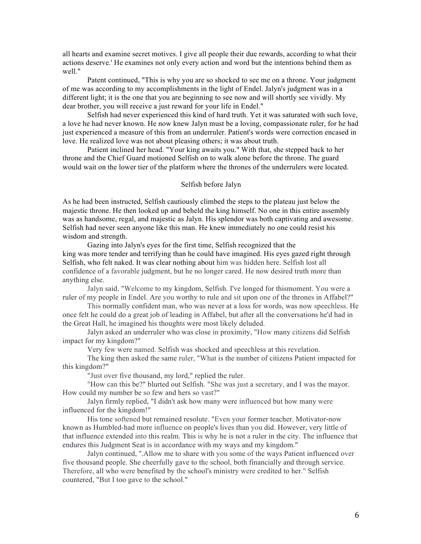all hearts and examine secret motives. I give all people their due rewards, according to what their actions deserve.' He examines not only every action and word but the intentions behind them as well"

Patent continued, "This is why you are so shocked to see me on a throne. Your judgment of me was according to my accomplishments in the light of Endel. Jalyn's judgment was in a different light; it is the one that you are beginning to see now and will shortly see vividly. My dear brother, you will receive a just reward for your life in Endel."

Selfish had never experienced this kind of hard truth. Yet it was saturated with such love, a love he had never known. He now knew Jalyn must be a loving, compassionate ruler, for he had just experienced a measure of this from an underruler. Patient's words were correction encased in love. He realized love was not about pleasing others; it was about truth.

Patient inclined her head. "Your king awaits you." With that, she stepped back to her throne and the Chief Guard motioned Selfish on to walk alone before the throne. The guard would wait on the lower tier of the platform where the thrones of the underrulers were located.

## Selfish before Jalyn

As he had been instructed, Selfish cautiously climbed the steps to the plateau just below the majestic throne. He then looked up and beheld the king himself. No one in this entire assembly was as handsome, regal, and majestic as Jalyn. His splendor was both captivating and awesome. Selfish had never seen anyone like this man. He knew immediately no one could resist his wisdom and strength.

Gazing into Jalyn's eyes for the first time, Selfish recognized that the king was more tender and terrifying than he could have imagined. His eyes gazed right through Selfish, who felt naked. It was clear nothing about him was hidden here. Selfish lost all confidence of a favorable judgment, but he no longer cared. He now desired truth more than anything else.

Jalyn said, "Welcome to my kingdom, Selfish. I've longed for thismoment. You were a ruler of my people in Endel. Are you worthy to rule and sit upon one of the thrones in Affabel?"

This normally confident man, who was never at a loss for words, was now speechless. He once felt he could do a great job of leading in Affabel, but after all the conversations he'd had in the Great Hall, he imagined his thoughts were most likely deluded.

Jalyn asked an underruler who was close in proximity, "How many citizens did Selfish impact for my kingdom?"

Very few were named. Selfish was shocked and speechless at this revelation.

The king then asked the same ruler, "What is the number of citizens Patient impacted for this kingdom?"

"Just over five thousand, my lord," replied the ruler.

"How can this be?" blurted out Selfish. "She was just a secretary, and I was the mayor. How could my number be so few and hers so vast?"

Jalyn firmly replied, "I didn't ask how many were influenced but how many were influenced for the kingdom!"

His tone softened but remained resolute. "Even your former teacher, Motivator-now known as Humbled-had more influence on people's lives than you did. However, very little of that influence extended into this realm. This is why he is not a ruler in the city. The influence that endures this Judgment Seat is in accordance with my ways and my kingdom."

Jalyn continued, ''.Allow me to share with you some of the ways Patient influenced over five thousand people. She cheerfully gave to the school, both financially and through service. Therefore, all who were benefited by the school's ministry were credited to her." Selfish countered, "But I too gave to the school."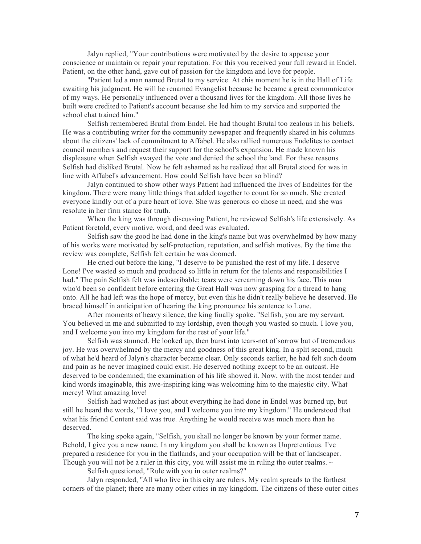Jalyn replied, "Your contributions were motivated by the desire to appease your conscience or maintain or repair your reputation. For this you received your full reward in Endel. Patient, on the other hand, gave out of passion for the kingdom and love for people.

"Patient led a man named Brutal to my service. At chis moment he is in the Hall of Life awaiting his judgment. He will be renamed Evangelist because he became a great communicator of my ways. He personally influenced over a thousand lives for the kingdom. All those lives he built were credited to Patient's account because she led him to my service and supported the school chat trained him."

Selfish remembered Brutal from Endel. He had thought Brutal too zealous in his beliefs. He was a contributing writer for the community newspaper and frequently shared in his columns about the citizens' lack of commitment to Affabel. He also rallied numerous Endelites to contact council members and request their support for the school's expansion. He made known his displeasure when Selfish swayed the vote and denied the school the land. For these reasons Selfish had disliked Brutal. Now he felt ashamed as he realized that all Brutal stood for was in line with Affabel's advancement. How could Selfish have been so blind?

Jalyn continued to show other ways Patient had influenced the lives of Endelites for the kingdom. There were many little things that added together to count for so much. She created everyone kindly out of a pure heart of love. She was generous co chose in need, and she was resolute in her firm stance for truth.

When the king was through discussing Patient, he reviewed Selfish's life extensively. As Patient foretold, every motive, word, and deed was evaluated.

Selfish saw the good he had done in the king's name but was overwhelmed by how many of his works were motivated by self-protection, reputation, and selfish motives. By the time the review was complete, Selfish felt certain he was doomed.

He cried out before the king, "I deserve to be punished the rest of my life. I deserve Lone! I've wasted so much and produced so little in return for the talents and responsibilities I had." The pain Selfish felt was indescribable; tears were screaming down his face. This man who'd been so confident before entering the Great Hall was now grasping for a thread to hang onto. All he had left was the hope of mercy, but even this he didn't really believe he deserved. He braced himself in anticipation of hearing the king pronounce his sentence to Lone.

After moments of heavy silence, the king finally spoke. "Selfish, you are my servant. You believed in me and submitted to my lordship, even though you wasted so much. I love you, and I welcome you into my kingdom for the rest of your life."

Selfish was stunned. He looked up, then burst into tears-not of sorrow but of tremendous joy. He was overwhelmed by the mercy and goodness of this great king. In a split second, much of what he'd heard of Jalyn's character became clear. Only seconds earlier, he had felt such doom and pain as he never imagined could exist. He deserved nothing except to be an outcast. He deserved to be condemned; the examination of his life showed it. Now, with the most tender and kind words imaginable, this awe-inspiring king was welcoming him to the majestic city. What mercy! What amazing love!

Selfish had watched as just about everything he had done in Endel was burned up, but still he heard the words, "I love you, and I welcome you into my kingdom." He understood that what his friend Content said was true. Anything he would receive was much more than he deserved.

The king spoke again, "Selfish, you shall no longer be known by your former name. Behold, I give you a new name. In my kingdom you shall be known as Unpretentious. I've prepared a residence for you in the flatlands, and your occupation will be that of landscaper. Though you will not be a ruler in this city, you will assist me in ruling the outer realms.  $\sim$ 

Selfish questioned, "Rule with you in outer realms?"

Jalyn responded, ''All who live in this city are rulers. My realm spreads to the farthest corners of the planet; there are many other cities in my kingdom. The citizens of these outer cities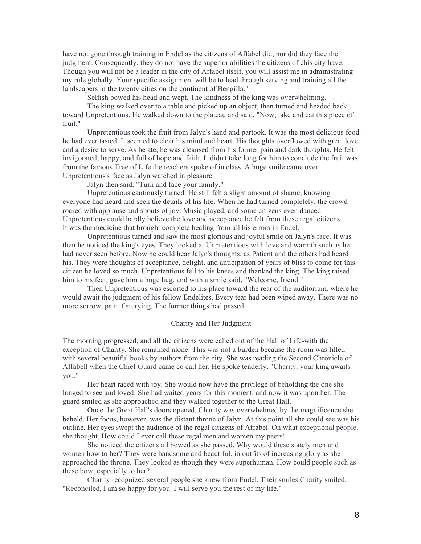have not gone through training in Endel as the citizens of Affabel did, nor did they face the judgment. Consequently, they do not have the superior abilities the citizens of chis city have. Though you will not be a leader in the city of Affabel itself, you will assist me in administrating my rule globally. Your specific assignment will be to lead through serving and training all the landscapers in the twenty cities on the continent of Bengilla."

Selfish bowed his head and wept. The kindness of the king was overwhelming.

The king walked over to a table and picked up an object, then turned and headed back toward Unpretentious. He walked down to the plateau and said, "Now, take and eat this piece of fruit."

Unpretentious took the fruit from Jalyn's hand and partook. It was the most delicious food he had ever tasted. It seemed to clear his mind and heart. His thoughts overflowed with great love and a desire to serve. As he ate, he was cleansed from his former pain and dark thoughts. He felt invigorated, happy, and full of hope and faith. It didn't take long for him to conclude the fruit was from the famous Tree of Life the teachers spoke of in class. A huge smile came over Unpretentious's face as Jalyn watched in pleasure.

Jalyn then said, "Turn and face your family."

Unpretentious cautiously turned. He still felt a slight amount of shame, knowing everyone had heard and seen the details of his life. When he had turned completely, the crowd roared with applause and shouts of joy. Music played, and some citizens even danced. Unpretentious could hardly believe the love and acceptance he felt from these regal citizens. It was the medicine that brought complete healing from all his errors in Endel.

Unpretentious turned and saw the most glorious and joyful smile on Jalyn's face. It was then he noticed the king's eyes. They looked at Unpretentious with love and warmth such as he had never seen before. Now he could hear Jalyn's thoughts, as Patient and the others had heard his. They were thoughts of acceptance, delight, and anticipation of years of bliss to come for this citizen he loved so much. Unpretentious fell to his knees and thanked the king. The king raised him to his feet, gave him a huge hug, and with a smile said, "Welcome, friend."

Then Unpretentious was escorted to his place toward the rear of the auditorium, where he would await the judgment of his fellow Endelites. Every tear had been wiped away. There was no more sorrow, pain. Or crying. The former things had passed.

## Charity and Her Judgment

The morning progressed, and all the citizens were called out of the Hall of Life-with the exception of Charity. She remained alone. This was not a burden because the room was filled with several beautiful books by authors from the city. She was reading the Second Chronicle of Affabell when the Chief Guard came co call her. He spoke tenderly. "Charity. your king awaits you."

Her heart raced with joy. She would now have the privilege of beholding the one she longed to see and loved. She had waited years for this moment, and now it was upon her. The guard smiled as she approached and they walked together to the Great Hall.

Once the Great Hall's doors opened, Charity was overwhelmed by the magnificence she beheld. Her focus, however, was the distant throne of Jalyn. At this point all she could see was his outline. Her eyes swept the audience of the regal citizens of Affabel. Oh what exceptional people, she thought. How could I ever call these regal men and women my peers!

She noticed the citizens all bowed as she passed. Why would these stately men and women how to her? They were handsome and beautiful, in outfits of increasing glory as she approached the throne. They looked as though they were superhuman. How could people such as these bow, especially to her?

Charity recognized several people she knew from Endel. Their smiles Charity smiled. "Reconciled, I am so happy for you. I will serve you the rest of my life."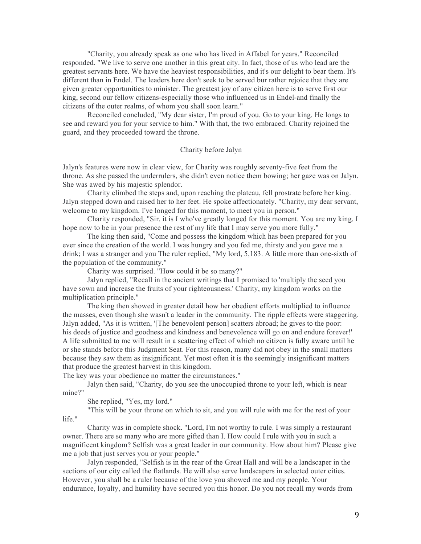"Charity, you already speak as one who has lived in Affabel for years," Reconciled responded. "We live to serve one another in this great city. In fact, those of us who lead are the greatest servants here. We have the heaviest responsibilities, and it's our delight to bear them. It's different than in Endel. The leaders here don't seek to be served bur rather rejoice that they are given greater opportunities to minister. The greatest joy of any citizen here is to serve first our king, second our fellow citizens-especially those who influenced us in Endel-and finally the citizens of the outer realms, of whom you shall soon learn."

Reconciled concluded, "My dear sister, I'm proud of you. Go to your king. He longs to see and reward you for your service to him." With that, the two embraced. Charity rejoined the guard, and they proceeded toward the throne.

### Charity before Jalyn

Jalyn's features were now in clear view, for Charity was roughly seventy-five feet from the throne. As she passed the underrulers, she didn't even notice them bowing; her gaze was on Jalyn. She was awed by his majestic splendor.

Charity climbed the steps and, upon reaching the plateau, fell prostrate before her king. Jalyn stepped down and raised her to her feet. He spoke affectionately. "Charity, my dear servant, welcome to my kingdom. I've longed for this moment, to meet you in person."

Charity responded, "Sir, it is I who've greatly longed for this moment. You are my king. I hope now to be in your presence the rest of my life that I may serve you more fully."

The king then said, "Come and possess the kingdom which has been prepared for you ever since the creation of the world. I was hungry and you fed me, thirsty and you gave me a drink; I was a stranger and you The ruler replied, "My lord, 5,183. A little more than one-sixth of the population of the community."

Charity was surprised. "How could it be so many?"

Jalyn replied, "Recall in the ancient writings that I promised to 'multiply the seed you have sown and increase the fruits of your righteousness.' Charity, my kingdom works on the multiplication principle."

The king then showed in greater detail how her obedient efforts multiplied to influence the masses, even though she wasn't a leader in the community. The ripple effects were staggering. Jalyn added, "As it is written, '[The benevolent person] scatters abroad; he gives to the poor: his deeds of justice and goodness and kindness and benevolence will go on and endure forever!' A life submitted to me will result in a scattering effect of which no citizen is fully aware until he or she stands before this Judgment Seat. For this reason, many did not obey in the small matters because they saw them as insignificant. Yet most often it is the seemingly insignificant matters that produce the greatest harvest in this kingdom.

The key was your obedience no matter the circumstances."

Jalyn then said, "Charity, do you see the unoccupied throne to your left, which is near mine?"

She replied, "Yes, my lord."

"This will be your throne on which to sit, and you will rule with me for the rest of your life."

Charity was in complete shock. "Lord, I'm not worthy to rule. I was simply a restaurant owner. There are so many who are more gifted than I. How could I rule with you in such a magnificent kingdom? Selfish was a great leader in our community. How about him? Please give me a job that just serves you or your people."

Jalyn responded, "Selfish is in the rear of the Great Hall and will be a landscaper in the sections of our city called the flatlands. He will also serve landscapers in selected outer cities. However, you shall be a ruler because of the love you showed me and my people. Your endurance, loyalty, and humility have secured you this honor. Do you not recall my words from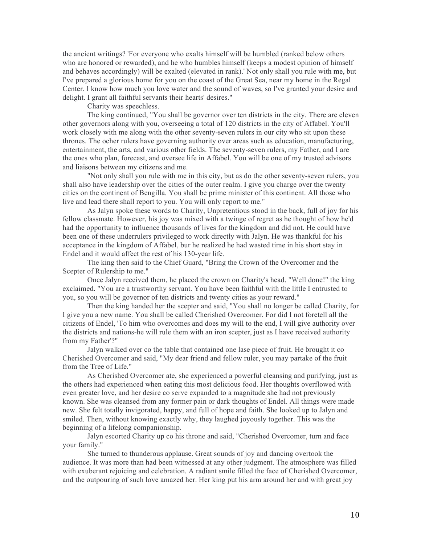the ancient writings? 'For everyone who exalts himself will be humbled (ranked below others who are honored or rewarded), and he who humbles himself (keeps a modest opinion of himself and behaves accordingly) will be exalted (elevated in rank).' Not only shall you rule with me, but I've prepared a glorious home for you on the coast of the Great Sea, near my home in the Regal Center. I know how much you love water and the sound of waves, so I've granted your desire and delight. I grant all faithful servants their hearts' desires."

Charity was speechless.

The king continued, "You shall be governor over ten districts in the city. There are eleven other governors along with you, overseeing a total of 120 districts in the city of Affabel. You'll work closely with me along with the other seventy-seven rulers in our city who sit upon these thrones. The ocher rulers have governing authority over areas such as education, manufacturing, entertainment, the arts, and various other fields. The seventy-seven rulers, my Father, and I are the ones who plan, forecast, and oversee life in Affabel. You will be one of my trusted advisors and liaisons between my citizens and me.

"Not only shall you rule with me in this city, but as do the other seventy-seven rulers, you shall also have leadership over the cities of the outer realm. I give you charge over the twenty cities on the continent of Bengilla. You shall be prime minister of this continent. All those who live and lead there shall report to you. You will only report to me."

As Jalyn spoke these words to Charity, Unpretentious stood in the back, full of joy for his fellow classmate. However, his joy was mixed with a twinge of regret as he thought of how he'd had the opportunity to influence thousands of lives for the kingdom and did not. He could have been one of these underrulers privileged to work directly with Jalyn. He was thankful for his acceptance in the kingdom of Affabel, bur he realized he had wasted time in his short stay in Endel and it would affect the rest of his 130-year life.

The king then said to the Chief Guard, "Bring the Crown of the Overcomer and the Scepter of Rulership to me."

Once Jalyn received them, he placed the crown on Charity's head. "Well done!" the king exclaimed. "You are a trustworthy servant. You have been faithful with the little I entrusted to you, so you will be governor of ten districts and twenty cities as your reward."

Then the king handed her the scepter and said, "You shall no longer be called Charity, for I give you a new name. You shall be called Cherished Overcomer. For did I not foretell all the citizens of Endel, 'To him who overcomes and does my will to the end, I will give authority over the districts and nations-he will rule them with an iron scepter, just as I have received authority from my Father'?"

Jalyn walked over co the table that contained one lase piece of fruit. He brought it co Cherished Overcomer and said, "My dear friend and fellow ruler, you may partake of the fruit from the Tree of Life."

As Cherished Overcomer ate, she experienced a powerful cleansing and purifying, just as the others had experienced when eating this most delicious food. Her thoughts overflowed with even greater love, and her desire co serve expanded to a magnitude she had not previously known. She was cleansed from any former pain or dark thoughts of Endel. All things were made new. She felt totally invigorated, happy, and full of hope and faith. She looked up to Jalyn and smiled. Then, without knowing exactly why, they laughed joyously together. This was the beginning of a lifelong companionship.

Jalyn escorted Charity up co his throne and said, "Cherished Overcomer, turn and face your family."

She turned to thunderous applause. Great sounds of joy and dancing overtook the audience. It was more than had been witnessed at any other judgment. The atmosphere was filled with exuberant rejoicing and celebration. A radiant smile filled the face of Cherished Overcomer, and the outpouring of such love amazed her. Her king put his arm around her and with great joy